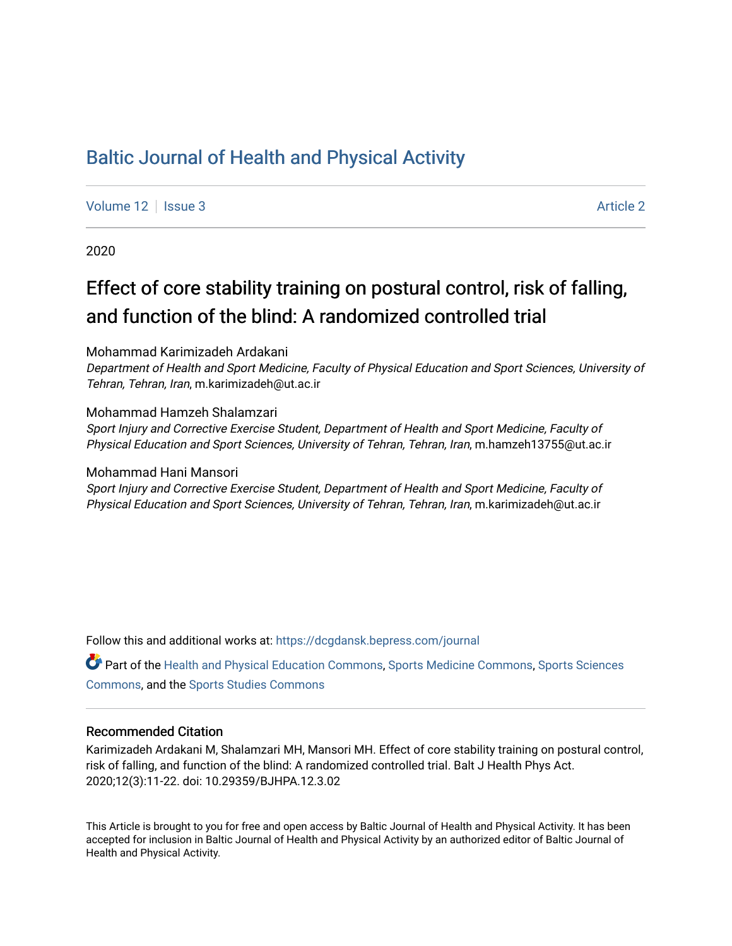# [Baltic Journal of Health and Physical Activity](https://dcgdansk.bepress.com/journal)

[Volume 12](https://dcgdansk.bepress.com/journal/vol12) | [Issue 3](https://dcgdansk.bepress.com/journal/vol12/iss3) [Article 2](https://dcgdansk.bepress.com/journal/vol12/iss3/2) | Article 2 | Article 2 | Article 2 | Article 2 | Article 2 | Article 2 | Article 2 | Article 2 | Article 2 | Article 2 | Article 2 | Article 2 | Article 2 | Article 2 | Article 2 | Article 2

2020

# Effect of core stability training on postural control, risk of falling, and function of the blind: A randomized controlled trial

Mohammad Karimizadeh Ardakani

Department of Health and Sport Medicine, Faculty of Physical Education and Sport Sciences, University of Tehran, Tehran, Iran, m.karimizadeh@ut.ac.ir

Mohammad Hamzeh Shalamzari

Sport Injury and Corrective Exercise Student, Department of Health and Sport Medicine, Faculty of Physical Education and Sport Sciences, University of Tehran, Tehran, Iran, m.hamzeh13755@ut.ac.ir

Mohammad Hani Mansori Sport Injury and Corrective Exercise Student, Department of Health and Sport Medicine, Faculty of Physical Education and Sport Sciences, University of Tehran, Tehran, Iran, m.karimizadeh@ut.ac.ir

Follow this and additional works at: [https://dcgdansk.bepress.com/journal](https://dcgdansk.bepress.com/journal?utm_source=dcgdansk.bepress.com%2Fjournal%2Fvol12%2Fiss3%2F2&utm_medium=PDF&utm_campaign=PDFCoverPages)

Part of the [Health and Physical Education Commons](http://network.bepress.com/hgg/discipline/1327?utm_source=dcgdansk.bepress.com%2Fjournal%2Fvol12%2Fiss3%2F2&utm_medium=PDF&utm_campaign=PDFCoverPages), [Sports Medicine Commons,](http://network.bepress.com/hgg/discipline/1331?utm_source=dcgdansk.bepress.com%2Fjournal%2Fvol12%2Fiss3%2F2&utm_medium=PDF&utm_campaign=PDFCoverPages) [Sports Sciences](http://network.bepress.com/hgg/discipline/759?utm_source=dcgdansk.bepress.com%2Fjournal%2Fvol12%2Fiss3%2F2&utm_medium=PDF&utm_campaign=PDFCoverPages) [Commons](http://network.bepress.com/hgg/discipline/759?utm_source=dcgdansk.bepress.com%2Fjournal%2Fvol12%2Fiss3%2F2&utm_medium=PDF&utm_campaign=PDFCoverPages), and the [Sports Studies Commons](http://network.bepress.com/hgg/discipline/1198?utm_source=dcgdansk.bepress.com%2Fjournal%2Fvol12%2Fiss3%2F2&utm_medium=PDF&utm_campaign=PDFCoverPages) 

#### Recommended Citation

Karimizadeh Ardakani M, Shalamzari MH, Mansori MH. Effect of core stability training on postural control, risk of falling, and function of the blind: A randomized controlled trial. Balt J Health Phys Act. 2020;12(3):11-22. doi: 10.29359/BJHPA.12.3.02

This Article is brought to you for free and open access by Baltic Journal of Health and Physical Activity. It has been accepted for inclusion in Baltic Journal of Health and Physical Activity by an authorized editor of Baltic Journal of Health and Physical Activity.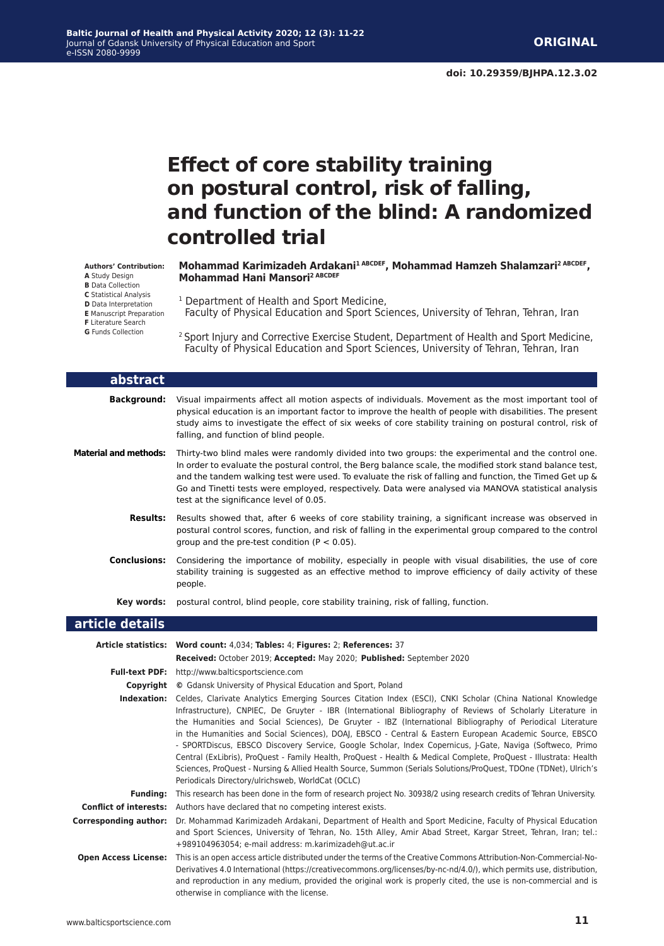# **Effect of core stability training on postural control, risk of falling, and function of the blind: A randomized controlled trial**

**Mohammad Karimizadeh Ardakani1 ABCDEF, Mohammad Hamzeh Shalamzari2 ABCDEF, Mohammad Hani Mansori2 ABCDEF**

- <sup>1</sup> Department of Health and Sport Medicine,
- Faculty of Physical Education and Sport Sciences, University of Tehran, Tehran, Iran
- <sup>2</sup> Sport Injury and Corrective Exercise Student, Department of Health and Sport Medicine, Faculty of Physical Education and Sport Sciences, University of Tehran, Tehran, Iran

| abstract                     |                                                                                                                                                                                                                                                                                                                                                                                                                                                                                                                                                                                                                                                                                                                                                                                                                                                               |  |  |
|------------------------------|---------------------------------------------------------------------------------------------------------------------------------------------------------------------------------------------------------------------------------------------------------------------------------------------------------------------------------------------------------------------------------------------------------------------------------------------------------------------------------------------------------------------------------------------------------------------------------------------------------------------------------------------------------------------------------------------------------------------------------------------------------------------------------------------------------------------------------------------------------------|--|--|
| <b>Background:</b>           | Visual impairments affect all motion aspects of individuals. Movement as the most important tool of<br>physical education is an important factor to improve the health of people with disabilities. The present<br>study aims to investigate the effect of six weeks of core stability training on postural control, risk of<br>falling, and function of blind people.                                                                                                                                                                                                                                                                                                                                                                                                                                                                                        |  |  |
| <b>Material and methods:</b> | Thirty-two blind males were randomly divided into two groups: the experimental and the control one.<br>In order to evaluate the postural control, the Berg balance scale, the modified stork stand balance test,<br>and the tandem walking test were used. To evaluate the risk of falling and function, the Timed Get up &<br>Go and Tinetti tests were employed, respectively. Data were analysed via MANOVA statistical analysis<br>test at the significance level of 0.05.                                                                                                                                                                                                                                                                                                                                                                                |  |  |
| <b>Results:</b>              | Results showed that, after 6 weeks of core stability training, a significant increase was observed in<br>postural control scores, function, and risk of falling in the experimental group compared to the control<br>group and the pre-test condition ( $P < 0.05$ ).                                                                                                                                                                                                                                                                                                                                                                                                                                                                                                                                                                                         |  |  |
| <b>Conclusions:</b>          | Considering the importance of mobility, especially in people with visual disabilities, the use of core<br>stability training is suggested as an effective method to improve efficiency of daily activity of these<br>people.                                                                                                                                                                                                                                                                                                                                                                                                                                                                                                                                                                                                                                  |  |  |
| Key words:                   | postural control, blind people, core stability training, risk of falling, function.                                                                                                                                                                                                                                                                                                                                                                                                                                                                                                                                                                                                                                                                                                                                                                           |  |  |
| article details              |                                                                                                                                                                                                                                                                                                                                                                                                                                                                                                                                                                                                                                                                                                                                                                                                                                                               |  |  |
|                              | Article statistics: Word count: 4,034; Tables: 4; Figures: 2; References: 37<br>Received: October 2019; Accepted: May 2020; Published: September 2020                                                                                                                                                                                                                                                                                                                                                                                                                                                                                                                                                                                                                                                                                                         |  |  |
| <b>Full-text PDF:</b>        | http://www.balticsportscience.com                                                                                                                                                                                                                                                                                                                                                                                                                                                                                                                                                                                                                                                                                                                                                                                                                             |  |  |
| Copyright                    | © Gdansk University of Physical Education and Sport, Poland                                                                                                                                                                                                                                                                                                                                                                                                                                                                                                                                                                                                                                                                                                                                                                                                   |  |  |
| Indexation:                  | Celdes, Clarivate Analytics Emerging Sources Citation Index (ESCI), CNKI Scholar (China National Knowledge<br>Infrastructure), CNPIEC, De Gruyter - IBR (International Bibliography of Reviews of Scholarly Literature in<br>the Humanities and Social Sciences), De Gruyter - IBZ (International Bibliography of Periodical Literature<br>in the Humanities and Social Sciences), DOAJ, EBSCO - Central & Eastern European Academic Source, EBSCO<br>- SPORTDiscus, EBSCO Discovery Service, Google Scholar, Index Copernicus, J-Gate, Naviga (Softweco, Primo<br>Central (ExLibris), ProQuest - Family Health, ProQuest - Health & Medical Complete, ProQuest - Illustrata: Health<br>Sciences, ProQuest - Nursing & Allied Health Source, Summon (Serials Solutions/ProQuest, TDOne (TDNet), Ulrich's<br>Periodicals Directory/ulrichsweb, WorldCat (OCLC) |  |  |
| <b>Funding:</b>              | This research has been done in the form of research project No. 30938/2 using research credits of Tehran University.                                                                                                                                                                                                                                                                                                                                                                                                                                                                                                                                                                                                                                                                                                                                          |  |  |
|                              | <b>Conflict of interests:</b> Authors have declared that no competing interest exists.                                                                                                                                                                                                                                                                                                                                                                                                                                                                                                                                                                                                                                                                                                                                                                        |  |  |
| <b>Corresponding author:</b> | Dr. Mohammad Karimizadeh Ardakani, Department of Health and Sport Medicine, Faculty of Physical Education<br>and Sport Sciences, University of Tehran, No. 15th Alley, Amir Abad Street, Kargar Street, Tehran, Iran; tel.:                                                                                                                                                                                                                                                                                                                                                                                                                                                                                                                                                                                                                                   |  |  |

+989104963054; e-mail address: m.karimizadeh@ut.ac.ir **Open Access License:** This is an open access article distributed under the terms of the Creative Commons Attribution-Non-Commercial-No-Derivatives 4.0 International (https://creativecommons.org/licenses/by-nc-nd/4.0/), which permits use, distribution, and reproduction in any medium, provided the original work is properly cited, the use is non-commercial and is otherwise in compliance with the license.

**Authors' Contribution: A** Study Design **B** Data Collection **C** Statistical Analysis **D** Data Interpretation **E** Manuscript Preparation

**F** Literature Search

**G** Funds Collection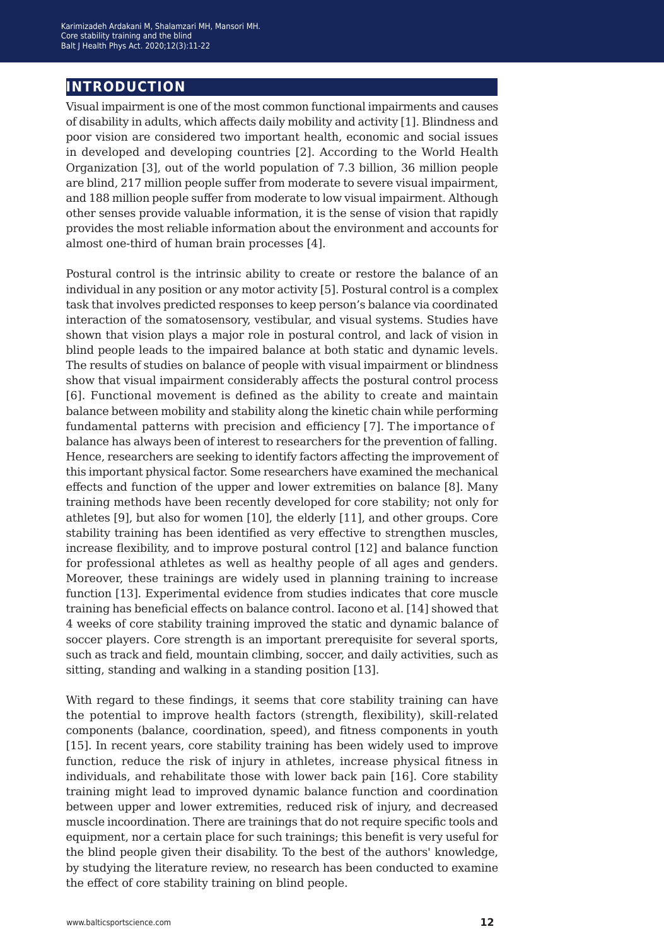# **introduction**

Visual impairment is one of the most common functional impairments and causes of disability in adults, which affects daily mobility and activity [1]. Blindness and poor vision are considered two important health, economic and social issues in developed and developing countries [2]. According to the World Health Organization [3], out of the world population of 7.3 billion, 36 million people are blind, 217 million people suffer from moderate to severe visual impairment, and 188 million people suffer from moderate to low visual impairment. Although other senses provide valuable information, it is the sense of vision that rapidly provides the most reliable information about the environment and accounts for almost one-third of human brain processes [4].

Postural control is the intrinsic ability to create or restore the balance of an individual in any position or any motor activity [5]. Postural control is a complex task that involves predicted responses to keep person's balance via coordinated interaction of the somatosensory, vestibular, and visual systems. Studies have shown that vision plays a major role in postural control, and lack of vision in blind people leads to the impaired balance at both static and dynamic levels. The results of studies on balance of people with visual impairment or blindness show that visual impairment considerably affects the postural control process [6]. Functional movement is defined as the ability to create and maintain balance between mobility and stability along the kinetic chain while performing fundamental patterns with precision and efficiency [7]. The importance of balance has always been of interest to researchers for the prevention of falling. Hence, researchers are seeking to identify factors affecting the improvement of this important physical factor. Some researchers have examined the mechanical effects and function of the upper and lower extremities on balance [8]. Many training methods have been recently developed for core stability; not only for athletes [9], but also for women [10], the elderly [11], and other groups. Core stability training has been identified as very effective to strengthen muscles, increase flexibility, and to improve postural control [12] and balance function for professional athletes as well as healthy people of all ages and genders. Moreover, these trainings are widely used in planning training to increase function [13]. Experimental evidence from studies indicates that core muscle training has beneficial effects on balance control. Iacono et al. [14] showed that 4 weeks of core stability training improved the static and dynamic balance of soccer players. Core strength is an important prerequisite for several sports, such as track and field, mountain climbing, soccer, and daily activities, such as sitting, standing and walking in a standing position [13].

With regard to these findings, it seems that core stability training can have the potential to improve health factors (strength, flexibility), skill-related components (balance, coordination, speed), and fitness components in youth [15]. In recent years, core stability training has been widely used to improve function, reduce the risk of injury in athletes, increase physical fitness in individuals, and rehabilitate those with lower back pain [16]. Core stability training might lead to improved dynamic balance function and coordination between upper and lower extremities, reduced risk of injury, and decreased muscle incoordination. There are trainings that do not require specific tools and equipment, nor a certain place for such trainings; this benefit is very useful for the blind people given their disability. To the best of the authors' knowledge, by studying the literature review, no research has been conducted to examine the effect of core stability training on blind people.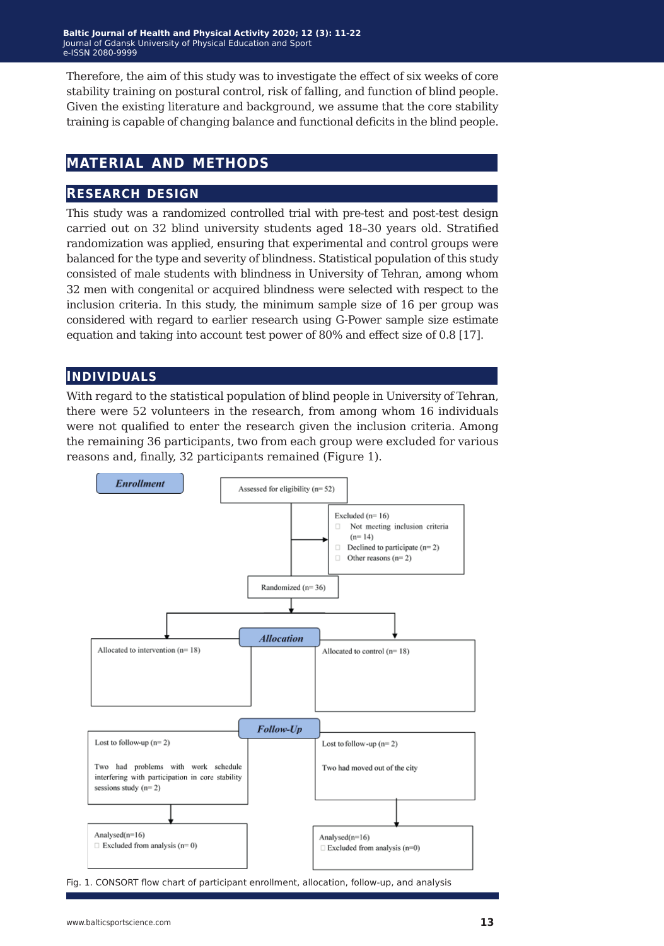Therefore, the aim of this study was to investigate the effect of six weeks of core stability training on postural control, risk of falling, and function of blind people. Given the existing literature and background, we assume that the core stability training is capable of changing balance and functional deficits in the blind people.

# **material and methods**

### **research design**

This study was a randomized controlled trial with pre-test and post-test design carried out on 32 blind university students aged 18–30 years old. Stratified randomization was applied, ensuring that experimental and control groups were balanced for the type and severity of blindness. Statistical population of this study consisted of male students with blindness in University of Tehran, among whom 32 men with congenital or acquired blindness were selected with respect to the inclusion criteria. In this study, the minimum sample size of 16 per group was considered with regard to earlier research using G-Power sample size estimate equation and taking into account test power of 80% and effect size of 0.8 [17].

### **individuals**

With regard to the statistical population of blind people in University of Tehran, there were 52 volunteers in the research, from among whom 16 individuals were not qualified to enter the research given the inclusion criteria. Among the remaining 36 participants, two from each group were excluded for various reasons and, finally, 32 participants remained (Figure 1).



Fig. 1. CONSORT flow chart of participant enrollment, allocation, follow-up, and analysis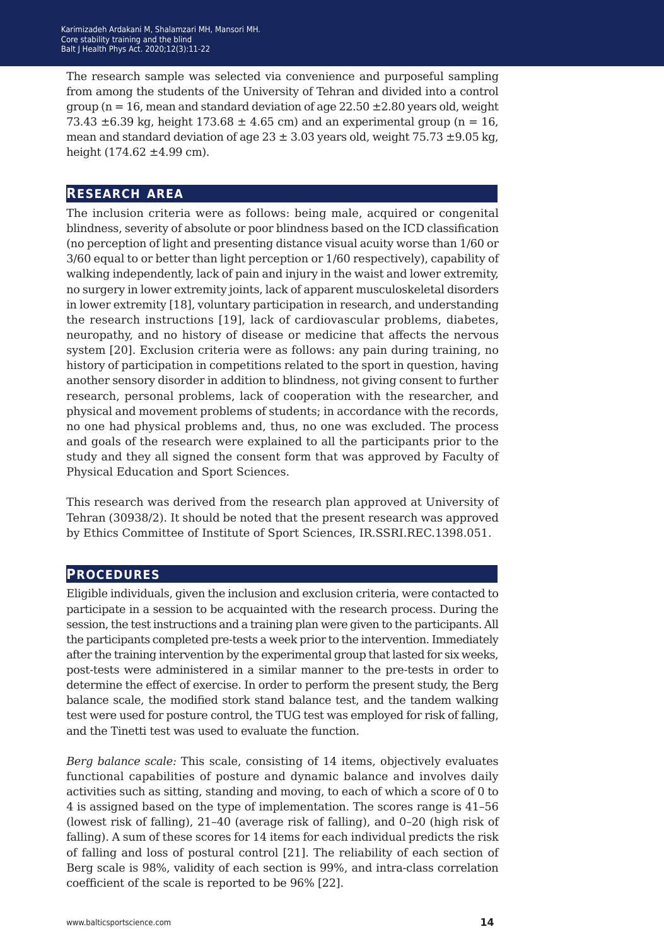The research sample was selected via convenience and purposeful sampling from among the students of the University of Tehran and divided into a control group ( $n = 16$ , mean and standard deviation of age 22.50  $\pm$ 2.80 years old, weight 73.43  $\pm$ 6.39 kg, height 173.68  $\pm$  4.65 cm) and an experimental group (n = 16, mean and standard deviation of age  $23 \pm 3.03$  years old, weight  $75.73 \pm 9.05$  kg, height  $(174.62 \pm 4.99 \text{ cm})$ .

#### **research area**

The inclusion criteria were as follows: being male, acquired or congenital blindness, severity of absolute or poor blindness based on the ICD classification (no perception of light and presenting distance visual acuity worse than 1/60 or 3/60 equal to or better than light perception or 1/60 respectively), capability of walking independently, lack of pain and injury in the waist and lower extremity, no surgery in lower extremity joints, lack of apparent musculoskeletal disorders in lower extremity [18], voluntary participation in research, and understanding the research instructions [19], lack of cardiovascular problems, diabetes, neuropathy, and no history of disease or medicine that affects the nervous system [20]. Exclusion criteria were as follows: any pain during training, no history of participation in competitions related to the sport in question, having another sensory disorder in addition to blindness, not giving consent to further research, personal problems, lack of cooperation with the researcher, and physical and movement problems of students; in accordance with the records, no one had physical problems and, thus, no one was excluded. The process and goals of the research were explained to all the participants prior to the study and they all signed the consent form that was approved by Faculty of Physical Education and Sport Sciences.

This research was derived from the research plan approved at University of Tehran (30938/2). It should be noted that the present research was approved by Ethics Committee of Institute of Sport Sciences, IR.SSRI.REC.1398.051.

#### **procedures**

Eligible individuals, given the inclusion and exclusion criteria, were contacted to participate in a session to be acquainted with the research process. During the session, the test instructions and a training plan were given to the participants. All the participants completed pre-tests a week prior to the intervention. Immediately after the training intervention by the experimental group that lasted for six weeks, post-tests were administered in a similar manner to the pre-tests in order to determine the effect of exercise. In order to perform the present study, the Berg balance scale, the modified stork stand balance test, and the tandem walking test were used for posture control, the TUG test was employed for risk of falling, and the Tinetti test was used to evaluate the function.

*Berg balance scale:* This scale, consisting of 14 items, objectively evaluates functional capabilities of posture and dynamic balance and involves daily activities such as sitting, standing and moving, to each of which a score of 0 to 4 is assigned based on the type of implementation. The scores range is 41–56 (lowest risk of falling), 21–40 (average risk of falling), and 0–20 (high risk of falling). A sum of these scores for 14 items for each individual predicts the risk of falling and loss of postural control [21]. The reliability of each section of Berg scale is 98%, validity of each section is 99%, and intra-class correlation coefficient of the scale is reported to be 96% [22].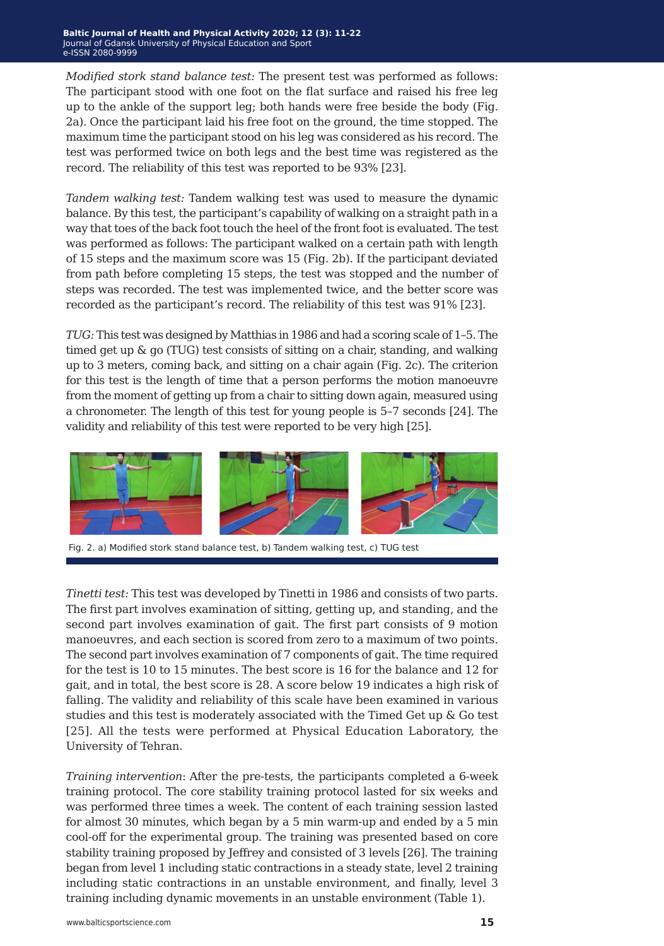*Modified stork stand balance test:* The present test was performed as follows: The participant stood with one foot on the flat surface and raised his free leg up to the ankle of the support leg; both hands were free beside the body (Fig. 2a). Once the participant laid his free foot on the ground, the time stopped. The maximum time the participant stood on his leg was considered as his record. The test was performed twice on both legs and the best time was registered as the record. The reliability of this test was reported to be 93% [23].

*Tandem walking test:* Tandem walking test was used to measure the dynamic balance. By this test, the participant's capability of walking on a straight path in a way that toes of the back foot touch the heel of the front foot is evaluated. The test was performed as follows: The participant walked on a certain path with length of 15 steps and the maximum score was 15 (Fig. 2b). If the participant deviated from path before completing 15 steps, the test was stopped and the number of steps was recorded. The test was implemented twice, and the better score was recorded as the participant's record. The reliability of this test was 91% [23].

*TUG:* This test was designed by Matthias in 1986 and had a scoring scale of 1–5. The timed get up & go (TUG) test consists of sitting on a chair, standing, and walking up to 3 meters, coming back, and sitting on a chair again (Fig. 2c). The criterion for this test is the length of time that a person performs the motion manoeuvre from the moment of getting up from a chair to sitting down again, measured using a chronometer. The length of this test for young people is 5–7 seconds [24]. The validity and reliability of this test were reported to be very high [25].



Fig. 2. a) Modified stork stand balance test, b) Tandem walking test, c) TUG test

*Tinetti test:* This test was developed by Tinetti in 1986 and consists of two parts. The first part involves examination of sitting, getting up, and standing, and the second part involves examination of gait. The first part consists of 9 motion manoeuvres, and each section is scored from zero to a maximum of two points. The second part involves examination of 7 components of gait. The time required for the test is 10 to 15 minutes. The best score is 16 for the balance and 12 for gait, and in total, the best score is 28. A score below 19 indicates a high risk of falling. The validity and reliability of this scale have been examined in various studies and this test is moderately associated with the Timed Get up & Go test [25]. All the tests were performed at Physical Education Laboratory, the University of Tehran.

*Training intervention*: After the pre-tests, the participants completed a 6-week training protocol. The core stability training protocol lasted for six weeks and was performed three times a week. The content of each training session lasted for almost 30 minutes, which began by a 5 min warm-up and ended by a 5 min cool-off for the experimental group. The training was presented based on core stability training proposed by Jeffrey and consisted of 3 levels [26]. The training began from level 1 including static contractions in a steady state, level 2 training including static contractions in an unstable environment, and finally, level 3 training including dynamic movements in an unstable environment (Table 1).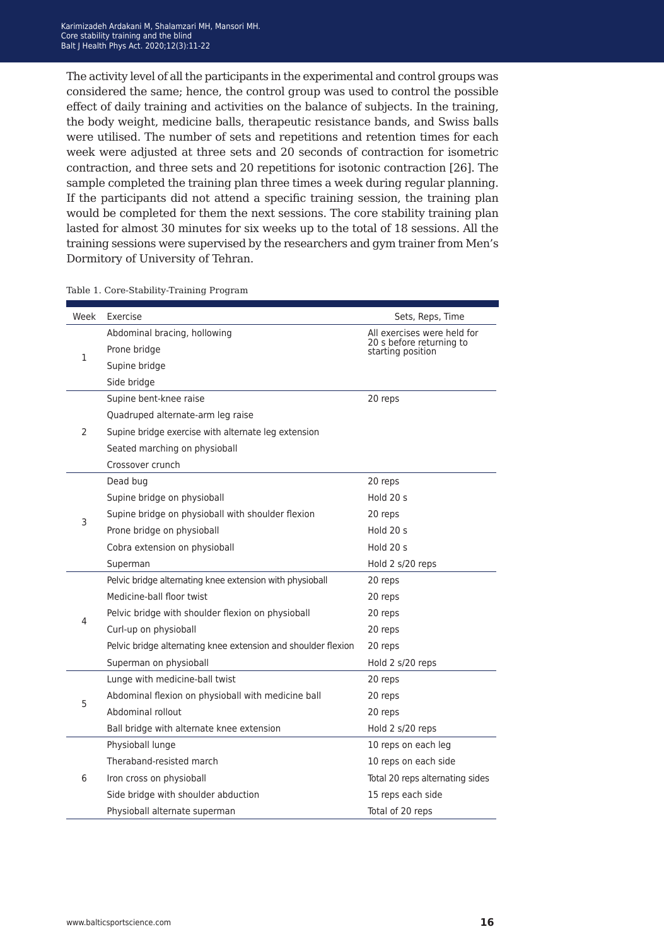The activity level of all the participants in the experimental and control groups was considered the same; hence, the control group was used to control the possible effect of daily training and activities on the balance of subjects. In the training, the body weight, medicine balls, therapeutic resistance bands, and Swiss balls were utilised. The number of sets and repetitions and retention times for each week were adjusted at three sets and 20 seconds of contraction for isometric contraction, and three sets and 20 repetitions for isotonic contraction [26]. The sample completed the training plan three times a week during regular planning. If the participants did not attend a specific training session, the training plan would be completed for them the next sessions. The core stability training plan lasted for almost 30 minutes for six weeks up to the total of 18 sessions. All the training sessions were supervised by the researchers and gym trainer from Men's Dormitory of University of Tehran.

| Week           | Exercise                                                      | Sets, Reps, Time                              |
|----------------|---------------------------------------------------------------|-----------------------------------------------|
| 1              | Abdominal bracing, hollowing                                  | All exercises were held for                   |
|                | Prone bridge                                                  | 20 s before returning to<br>starting position |
|                | Supine bridge                                                 |                                               |
|                | Side bridge                                                   |                                               |
|                | Supine bent-knee raise                                        | 20 reps                                       |
|                | Quadruped alternate-arm leg raise                             |                                               |
| $\overline{2}$ | Supine bridge exercise with alternate leg extension           |                                               |
|                | Seated marching on physioball                                 |                                               |
|                | Crossover crunch                                              |                                               |
|                | Dead bug                                                      | 20 reps                                       |
|                | Supine bridge on physioball                                   | Hold 20 s                                     |
| 3              | Supine bridge on physioball with shoulder flexion             | 20 reps                                       |
|                | Prone bridge on physioball                                    | Hold $20 s$                                   |
|                | Cobra extension on physioball                                 | Hold 20 s                                     |
|                | Superman                                                      | Hold 2 s/20 reps                              |
|                | Pelvic bridge alternating knee extension with physioball      | 20 reps                                       |
|                | Medicine-ball floor twist                                     | 20 reps                                       |
| 4              | Pelvic bridge with shoulder flexion on physioball             | 20 reps                                       |
|                | Curl-up on physioball                                         | 20 reps                                       |
|                | Pelvic bridge alternating knee extension and shoulder flexion | 20 reps                                       |
|                | Superman on physioball                                        | Hold 2 s/20 reps                              |
|                | Lunge with medicine-ball twist                                | 20 reps                                       |
| 5              | Abdominal flexion on physioball with medicine ball            | 20 reps                                       |
|                | Abdominal rollout                                             | 20 reps                                       |
|                | Ball bridge with alternate knee extension                     | Hold 2 s/20 reps                              |
|                | Physioball lunge                                              | 10 reps on each leg                           |
| 6              | Theraband-resisted march                                      | 10 reps on each side                          |
|                | Iron cross on physioball                                      | Total 20 reps alternating sides               |
|                | Side bridge with shoulder abduction                           | 15 reps each side                             |
|                | Physioball alternate superman                                 | Total of 20 reps                              |

Table 1. Core-Stability-Training Program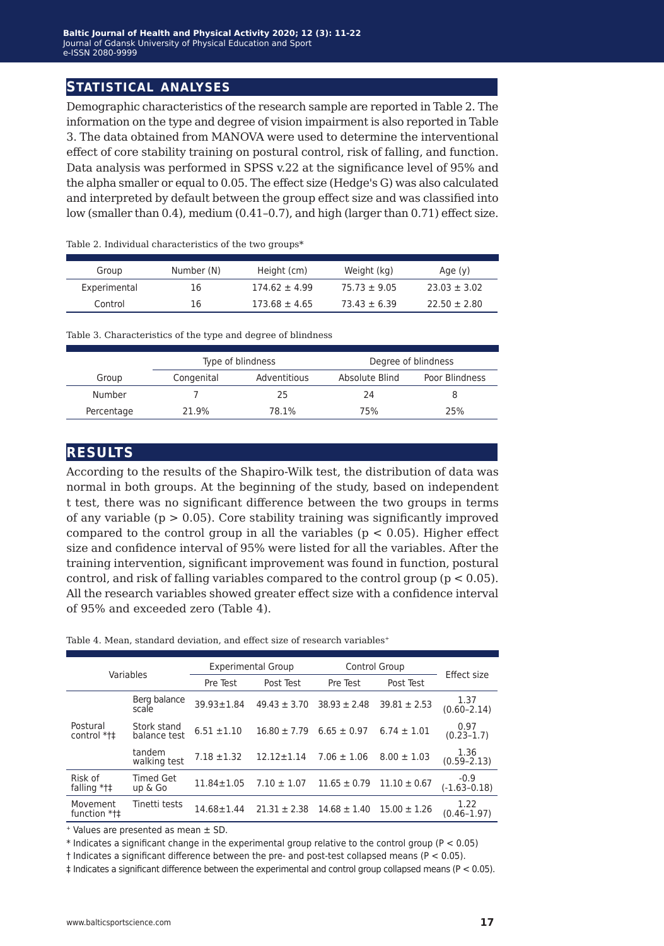### **statistical analyses**

Demographic characteristics of the research sample are reported in Table 2. The information on the type and degree of vision impairment is also reported in Table 3. The data obtained from MANOVA were used to determine the interventional effect of core stability training on postural control, risk of falling, and function. Data analysis was performed in SPSS v.22 at the significance level of 95% and the alpha smaller or equal to 0.05. The effect size (Hedge's G) was also calculated and interpreted by default between the group effect size and was classified into low (smaller than 0.4), medium (0.41–0.7), and high (larger than 0.71) effect size.

| Group        | Number (N) | Height (cm)       | Weight (kg)      | Age (y)          |
|--------------|------------|-------------------|------------------|------------------|
| Experimental | 16         | $174.62 \pm 4.99$ | $75.73 \pm 9.05$ | $23.03 \pm 3.02$ |
| Control      | 16         | $173.68 \pm 4.65$ | $73.43 \pm 6.39$ | $22.50 \pm 2.80$ |

Table 2. Individual characteristics of the two groups\*

Table 3. Characteristics of the type and degree of blindness

|            | Type of blindness |              |                | Degree of blindness |
|------------|-------------------|--------------|----------------|---------------------|
| Group      | Congenital        | Adventitious | Absolute Blind | Poor Blindness      |
| Number     |                   | 25           | 24             |                     |
| Percentage | 21.9%             | 78.1%        | 75%            | 25%                 |

### **results**

According to the results of the Shapiro-Wilk test, the distribution of data was normal in both groups. At the beginning of the study, based on independent t test, there was no significant difference between the two groups in terms of any variable  $(p > 0.05)$ . Core stability training was significantly improved compared to the control group in all the variables ( $p < 0.05$ ). Higher effect size and confidence interval of 95% were listed for all the variables. After the training intervention, significant improvement was found in function, postural control, and risk of falling variables compared to the control group ( $p < 0.05$ ). All the research variables showed greater effect size with a confidence interval of 95% and exceeded zero (Table 4).

Table 4. Mean, standard deviation, and effect size of research variables<sup>+</sup>

| Variables                 |                             | <b>Experimental Group</b> |                  | Control Group    |                  | Effect size                |
|---------------------------|-----------------------------|---------------------------|------------------|------------------|------------------|----------------------------|
|                           |                             | Pre Test                  | Post Test        | Pre Test         | Post Test        |                            |
|                           | Berg balance<br>scale       | $39.93 \pm 1.84$          | $49.43 \pm 3.70$ | $38.93 \pm 2.48$ | $39.81 \pm 2.53$ | 1.37<br>$(0.60 - 2.14)$    |
| Postural<br>control *t‡   | Stork stand<br>balance test | $6.51 \pm 1.10$           | $16.80 \pm 7.79$ | $6.65 \pm 0.97$  | $6.74 \pm 1.01$  | 0.97<br>$(0.23 - 1.7)$     |
|                           | tandem<br>walking test      | $7.18 \pm 1.32$           | $12.12 \pm 1.14$ | $7.06 \pm 1.06$  | $8.00 \pm 1.03$  | 1.36<br>$(0.59 - 2.13)$    |
| Risk of<br>falling $*$ †‡ | <b>Timed Get</b><br>up & Go | $11.84 \pm 1.05$          | $7.10 \pm 1.07$  | $11.65 \pm 0.79$ | $11.10 \pm 0.67$ | $-0.9$<br>$(-1.63 - 0.18)$ |
| Movement<br>function *t‡  | Tinetti tests               | $14.68 \pm 1.44$          | $21.31 \pm 2.38$ | $14.68 \pm 1.40$ | $15.00 \pm 1.26$ | 1.22<br>$(0.46 - 1.97)$    |

 $+$  Values are presented as mean  $\pm$  SD.

 $*$  Indicates a significant change in the experimental group relative to the control group (P < 0.05)

 $\dagger$  Indicates a significant difference between the pre- and post-test collapsed means (P < 0.05).

‡ Indicates a significant difference between the experimental and control group collapsed means (P < 0.05).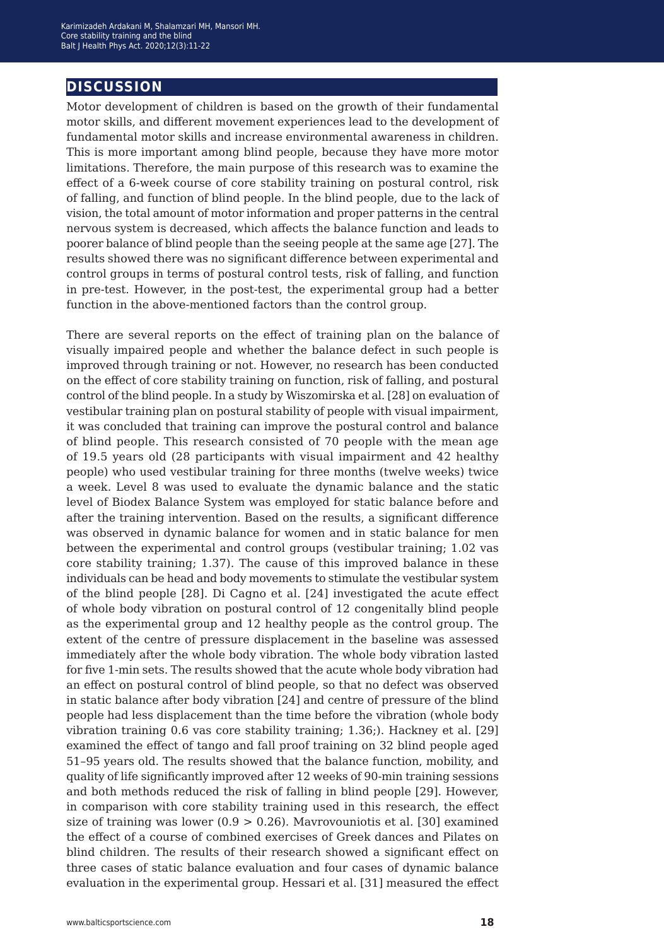# **discussion**

Motor development of children is based on the growth of their fundamental motor skills, and different movement experiences lead to the development of fundamental motor skills and increase environmental awareness in children. This is more important among blind people, because they have more motor limitations. Therefore, the main purpose of this research was to examine the effect of a 6-week course of core stability training on postural control, risk of falling, and function of blind people. In the blind people, due to the lack of vision, the total amount of motor information and proper patterns in the central nervous system is decreased, which affects the balance function and leads to poorer balance of blind people than the seeing people at the same age [27]. The results showed there was no significant difference between experimental and control groups in terms of postural control tests, risk of falling, and function in pre-test. However, in the post-test, the experimental group had a better function in the above-mentioned factors than the control group.

There are several reports on the effect of training plan on the balance of visually impaired people and whether the balance defect in such people is improved through training or not. However, no research has been conducted on the effect of core stability training on function, risk of falling, and postural control of the blind people. In a study by Wiszomirska et al. [28] on evaluation of vestibular training plan on postural stability of people with visual impairment, it was concluded that training can improve the postural control and balance of blind people. This research consisted of 70 people with the mean age of 19.5 years old (28 participants with visual impairment and 42 healthy people) who used vestibular training for three months (twelve weeks) twice a week. Level 8 was used to evaluate the dynamic balance and the static level of Biodex Balance System was employed for static balance before and after the training intervention. Based on the results, a significant difference was observed in dynamic balance for women and in static balance for men between the experimental and control groups (vestibular training; 1.02 vas core stability training; 1.37). The cause of this improved balance in these individuals can be head and body movements to stimulate the vestibular system of the blind people [28]. Di Cagno et al. [24] investigated the acute effect of whole body vibration on postural control of 12 congenitally blind people as the experimental group and 12 healthy people as the control group. The extent of the centre of pressure displacement in the baseline was assessed immediately after the whole body vibration. The whole body vibration lasted for five 1-min sets. The results showed that the acute whole body vibration had an effect on postural control of blind people, so that no defect was observed in static balance after body vibration [24] and centre of pressure of the blind people had less displacement than the time before the vibration (whole body vibration training 0.6 vas core stability training; 1.36;). Hackney et al. [29] examined the effect of tango and fall proof training on 32 blind people aged 51–95 years old. The results showed that the balance function, mobility, and quality of life significantly improved after 12 weeks of 90-min training sessions and both methods reduced the risk of falling in blind people [29]. However, in comparison with core stability training used in this research, the effect size of training was lower  $(0.9 > 0.26)$ . Mavrovouniotis et al. [30] examined the effect of a course of combined exercises of Greek dances and Pilates on blind children. The results of their research showed a significant effect on three cases of static balance evaluation and four cases of dynamic balance evaluation in the experimental group. Hessari et al. [31] measured the effect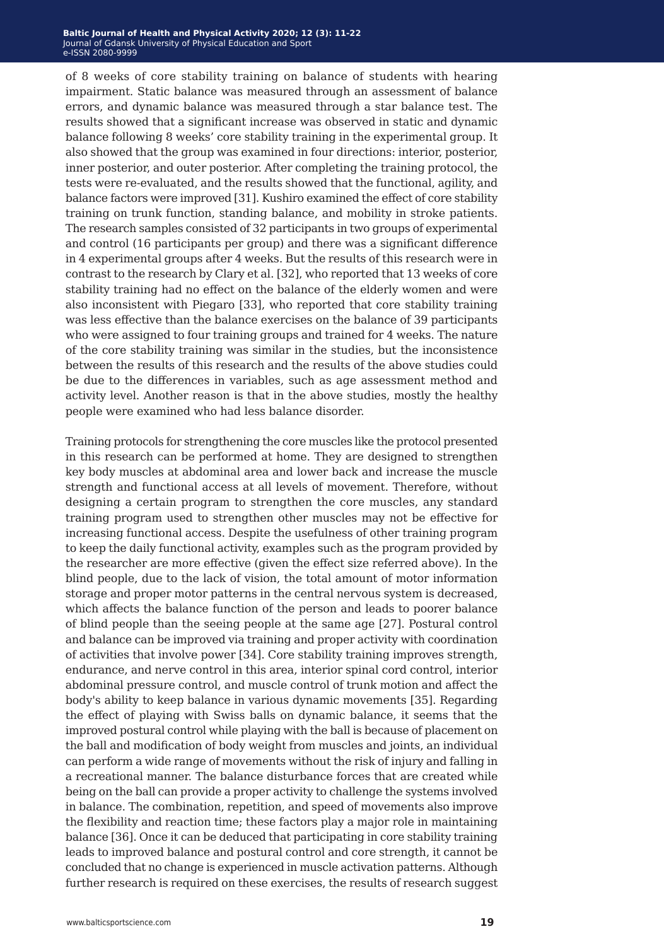#### Baltic Journal of Health and Physical Activity 2020; 12 (3): 11-22 Journal of Gdansk University of Physical Education and Sport e-ISSN 2080-9999 **e-ISSN** 2080-9999

of 8 weeks of core stability training on balance of students with hearing impairment. Static balance was measured through an assessment of balance errors, and dynamic balance was measured through a star balance test. The results showed that a significant increase was observed in static and dynamic balance following 8 weeks' core stability training in the experimental group. It also showed that the group was examined in four directions: interior, posterior, inner posterior, and outer posterior. After completing the training protocol, the tests were re-evaluated, and the results showed that the functional, agility, and balance factors were improved [31]. Kushiro examined the effect of core stability training on trunk function, standing balance, and mobility in stroke patients. The research samples consisted of 32 participants in two groups of experimental and control (16 participants per group) and there was a significant difference in 4 experimental groups after 4 weeks. But the results of this research were in contrast to the research by Clary et al. [32], who reported that 13 weeks of core stability training had no effect on the balance of the elderly women and were also inconsistent with Piegaro [33], who reported that core stability training was less effective than the balance exercises on the balance of 39 participants who were assigned to four training groups and trained for 4 weeks. The nature of the core stability training was similar in the studies, but the inconsistence between the results of this research and the results of the above studies could be due to the differences in variables, such as age assessment method and activity level. Another reason is that in the above studies, mostly the healthy people were examined who had less balance disorder.

Training protocols for strengthening the core muscles like the protocol presented in this research can be performed at home. They are designed to strengthen key body muscles at abdominal area and lower back and increase the muscle strength and functional access at all levels of movement. Therefore, without designing a certain program to strengthen the core muscles, any standard training program used to strengthen other muscles may not be effective for increasing functional access. Despite the usefulness of other training program to keep the daily functional activity, examples such as the program provided by the researcher are more effective (given the effect size referred above). In the blind people, due to the lack of vision, the total amount of motor information storage and proper motor patterns in the central nervous system is decreased, which affects the balance function of the person and leads to poorer balance of blind people than the seeing people at the same age [27]. Postural control and balance can be improved via training and proper activity with coordination of activities that involve power [34]. Core stability training improves strength, endurance, and nerve control in this area, interior spinal cord control, interior abdominal pressure control, and muscle control of trunk motion and affect the body's ability to keep balance in various dynamic movements [35]. Regarding the effect of playing with Swiss balls on dynamic balance, it seems that the improved postural control while playing with the ball is because of placement on the ball and modification of body weight from muscles and joints, an individual can perform a wide range of movements without the risk of injury and falling in a recreational manner. The balance disturbance forces that are created while being on the ball can provide a proper activity to challenge the systems involved in balance. The combination, repetition, and speed of movements also improve the flexibility and reaction time; these factors play a major role in maintaining balance [36]. Once it can be deduced that participating in core stability training leads to improved balance and postural control and core strength, it cannot be concluded that no change is experienced in muscle activation patterns. Although further research is required on these exercises, the results of research suggest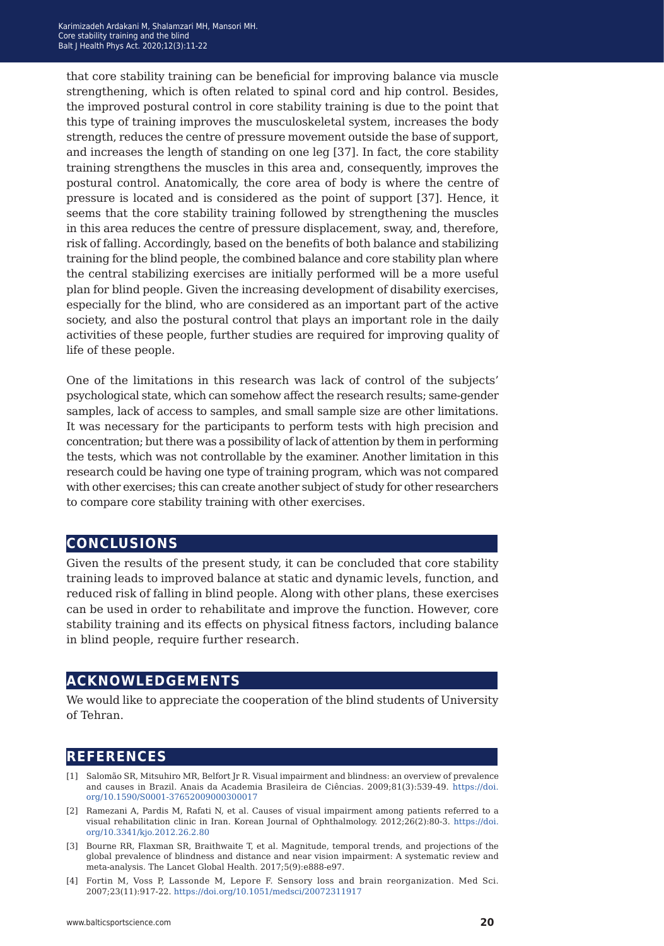that core stability training can be beneficial for improving balance via muscle strengthening, which is often related to spinal cord and hip control. Besides, the improved postural control in core stability training is due to the point that this type of training improves the musculoskeletal system, increases the body strength, reduces the centre of pressure movement outside the base of support, and increases the length of standing on one leg [37]. In fact, the core stability training strengthens the muscles in this area and, consequently, improves the postural control. Anatomically, the core area of body is where the centre of pressure is located and is considered as the point of support [37]. Hence, it seems that the core stability training followed by strengthening the muscles in this area reduces the centre of pressure displacement, sway, and, therefore, risk of falling. Accordingly, based on the benefits of both balance and stabilizing training for the blind people, the combined balance and core stability plan where the central stabilizing exercises are initially performed will be a more useful plan for blind people. Given the increasing development of disability exercises, especially for the blind, who are considered as an important part of the active society, and also the postural control that plays an important role in the daily activities of these people, further studies are required for improving quality of life of these people.

One of the limitations in this research was lack of control of the subjects' psychological state, which can somehow affect the research results; same-gender samples, lack of access to samples, and small sample size are other limitations. It was necessary for the participants to perform tests with high precision and concentration; but there was a possibility of lack of attention by them in performing the tests, which was not controllable by the examiner. Another limitation in this research could be having one type of training program, which was not compared with other exercises; this can create another subject of study for other researchers to compare core stability training with other exercises.

### **conclusions**

Given the results of the present study, it can be concluded that core stability training leads to improved balance at static and dynamic levels, function, and reduced risk of falling in blind people. Along with other plans, these exercises can be used in order to rehabilitate and improve the function. However, core stability training and its effects on physical fitness factors, including balance in blind people, require further research.

## **acknowledgements**

We would like to appreciate the cooperation of the blind students of University of Tehran.

## **references**

- [1] Salomão SR, Mitsuhiro MR, Belfort Jr R. Visual impairment and blindness: an overview of prevalence and causes in Brazil. Anais da Academia Brasileira de Ciências. 2009;81(3):539-49. [https://doi.](https://doi.org/10.1590/S0001-37652009000300017) [org/10.1590/S0001-37652009000300017](https://doi.org/10.1590/S0001-37652009000300017)
- [2] Ramezani A, Pardis M, Rafati N, et al. Causes of visual impairment among patients referred to a visual rehabilitation clinic in Iran. Korean Journal of Ophthalmology. 2012;26(2):80-3. [https://doi.](https://doi.org/10.3341/kjo.2012.26.2.80) [org/10.3341/kjo.2012.26.2.80](https://doi.org/10.3341/kjo.2012.26.2.80)
- [3] Bourne RR, Flaxman SR, Braithwaite T, et al. Magnitude, temporal trends, and projections of the global prevalence of blindness and distance and near vision impairment: A systematic review and meta-analysis. The Lancet Global Health. 2017;5(9):e888-e97.
- [4] Fortin M, Voss P, Lassonde M, Lepore F. Sensory loss and brain reorganization. Med Sci. 2007;23(11):917-22. <https://doi.org/10.1051/medsci/20072311917>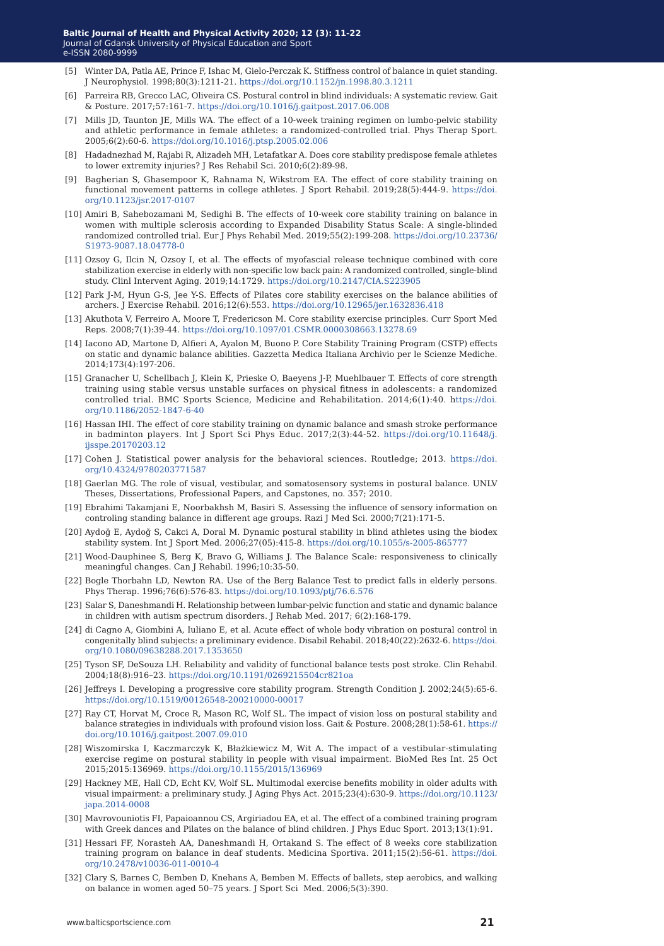- [5] Winter DA, Patla AE, Prince F, Ishac M, Gielo-Perczak K. Stiffness control of balance in quiet standing. J Neurophysiol. 1998;80(3):1211-21. <https://doi.org/10.1152/jn.1998.80.3.1211>
- [6] Parreira RB, Grecco LAC, Oliveira CS. Postural control in blind individuals: A systematic review. Gait & Posture. 2017;57:161-7. <https://doi.org/10.1016/j.gaitpost.2017.06.008>
- [7] Mills JD, Taunton JE, Mills WA. The effect of a 10-week training regimen on lumbo-pelvic stability and athletic performance in female athletes: a randomized-controlled trial. Phys Therap Sport. 2005;6(2):60-6. <https://doi.org/10.1016/j.ptsp.2005.02.006>
- [8] Hadadnezhad M, Rajabi R, Alizadeh MH, Letafatkar A. Does core stability predispose female athletes to lower extremity injuries? J Res Rehabil Sci. 2010;6(2):89-98.
- [9] Bagherian S, Ghasempoor K, Rahnama N, Wikstrom EA. The effect of core stability training on functional movement patterns in college athletes. J Sport Rehabil. 2019;28(5):444-9. [https://doi.](https://doi.org/10.1123/jsr.2017-0107) [org/10.1123/jsr.2017-0107](https://doi.org/10.1123/jsr.2017-0107)
- [10] Amiri B, Sahebozamani M, Sedighi B. The effects of 10-week core stability training on balance in women with multiple sclerosis according to Expanded Disability Status Scale: A single-blinded randomized controlled trial. Eur J Phys Rehabil Med. 2019;55(2):199-208. [https://doi.org/10.23736/](https://doi.org/10.23736/S1973-9087.18.04778-0) [S1973-9087.18.04778-0](https://doi.org/10.23736/S1973-9087.18.04778-0)
- [11] Ozsoy G, Ilcin N, Ozsoy I, et al. The effects of myofascial release technique combined with core stabilization exercise in elderly with non-specific low back pain: A randomized controlled, single-blind study. Clinl Intervent Aging. 2019;14:1729.<https://doi.org/10.2147/CIA.S223905>
- [12] Park J-M, Hyun G-S, Jee Y-S. Effects of Pilates core stability exercises on the balance abilities of archers. J Exercise Rehabil. 2016;12(6):553.<https://doi.org/10.12965/jer.1632836.418>
- [13] Akuthota V, Ferreiro A, Moore T, Fredericson M. Core stability exercise principles. Curr Sport Med Reps. 2008;7(1):39-44.<https://doi.org/10.1097/01.CSMR.0000308663.13278.69>
- [14] Iacono AD, Martone D, Alfieri A, Ayalon M, Buono P. Core Stability Training Program (CSTP) effects on static and dynamic balance abilities. Gazzetta Medica Italiana Archivio per le Scienze Mediche. 2014;173(4):197-206.
- [15] Granacher U, Schellbach J, Klein K, Prieske O, Baeyens J-P, Muehlbauer T. Effects of core strength training using stable versus unstable surfaces on physical fitness in adolescents: a randomized controlled trial. BMC Sports Science, Medicine and Rehabilitation. 2014;6(1):40. [https://doi.](https://doi.org/10.1186/2052-1847-6-40) [org/10.1186/2052-1847-6-40](https://doi.org/10.1186/2052-1847-6-40)
- [16] Hassan IHI. The effect of core stability training on dynamic balance and smash stroke performance in badminton players. Int J Sport Sci Phys Educ. 2017;2(3):44-52. [https://doi.org/10.11648/j.](https://doi.org/10.11648/j.ijsspe.20170203.12) [ijsspe.20170203.12](https://doi.org/10.11648/j.ijsspe.20170203.12)
- [17] Cohen J. Statistical power analysis for the behavioral sciences. Routledge; 2013. [https://doi.](https://doi.org/10.4324/9780203771587) [org/10.4324/9780203771587](https://doi.org/10.4324/9780203771587)
- [18] Gaerlan MG. The role of visual, vestibular, and somatosensory systems in postural balance. UNLV Theses, Dissertations, Professional Papers, and Capstones, no. 357; 2010.
- [19] Ebrahimi Takamjani E, Noorbakhsh M, Basiri S. Assessing the influence of sensory information on controling standing balance in different age groups. Razi J Med Sci. 2000;7(21):171-5.
- [20] Aydoğ E, Aydoğ S, Cakci A, Doral M. Dynamic postural stability in blind athletes using the biodex stability system. Int J Sport Med. 2006;27(05):415-8.<https://doi.org/10.1055/s-2005-865777>
- [21] Wood-Dauphinee S, Berg K, Bravo G, Williams J. The Balance Scale: responsiveness to clinically meaningful changes. Can J Rehabil. 1996;10:35-50.
- [22] Bogle Thorbahn LD, Newton RA. Use of the Berg Balance Test to predict falls in elderly persons. Phys Therap. 1996;76(6):576-83. <https://doi.org/10.1093/ptj/76.6.576>
- [23] Salar S, Daneshmandi H. Relationship between lumbar-pelvic function and static and dynamic balance in children with autism spectrum disorders. J Rehab Med. 2017; 6(2):168-179.
- [24] di Cagno A, Giombini A, Iuliano E, et al. Acute effect of whole body vibration on postural control in congenitally blind subjects: a preliminary evidence. Disabil Rehabil. 2018;40(22):2632-6. [https://doi.](https://doi.org/10.1080/09638288.2017.1353650) [org/10.1080/09638288.2017.1353650](https://doi.org/10.1080/09638288.2017.1353650)
- [25] Tyson SF, DeSouza LH. Reliability and validity of functional balance tests post stroke. Clin Rehabil. 2004;18(8):916–23.<https://doi.org/10.1191/0269215504cr821oa>
- [26] Jeffreys I. Developing a progressive core stability program. Strength Condition J. 2002;24(5):65-6. <https://doi.org/10.1519/00126548-200210000-00017>
- [27] Ray CT, Horvat M, Croce R, Mason RC, Wolf SL. The impact of vision loss on postural stability and balance strategies in individuals with profound vision loss. Gait & Posture. 2008;28(1):58-61. [https://](https://doi.org/10.1016/j.gaitpost.2007.09.010) [doi.org/10.1016/j.gaitpost.2007.09.010](https://doi.org/10.1016/j.gaitpost.2007.09.010)
- [28] Wiszomirska I, Kaczmarczyk K, Błażkiewicz M, Wit A. The impact of a vestibular-stimulating exercise regime on postural stability in people with visual impairment. BioMed Res Int. 25 Oct 2015;2015:136969.<https://doi.org/10.1155/2015/136969>
- [29] Hackney ME, Hall CD, Echt KV, Wolf SL. Multimodal exercise benefits mobility in older adults with visual impairment: a preliminary study. J Aging Phys Act. 2015;23(4):630-9. [https://doi.org/10.1123/](https://doi.org/10.1123/japa.2014-0008) [japa.2014-0008](https://doi.org/10.1123/japa.2014-0008)
- [30] Mavrovouniotis FI, Papaioannou CS, Argiriadou EA, et al. The effect of a combined training program with Greek dances and Pilates on the balance of blind children. J Phys Educ Sport. 2013;13(1):91.
- [31] Hessari FF, Norasteh AA, Daneshmandi H, Ortakand S. The effect of 8 weeks core stabilization training program on balance in deaf students. Medicina Sportiva. 2011;15(2):56-61. [https://doi.](https://doi.org/10.2478/v10036-011-0010-4) [org/10.2478/v10036-011-0010-4](https://doi.org/10.2478/v10036-011-0010-4)
- [32] Clary S, Barnes C, Bemben D, Knehans A, Bemben M. Effects of ballets, step aerobics, and walking on balance in women aged 50–75 years. J Sport Sci Med. 2006;5(3):390.